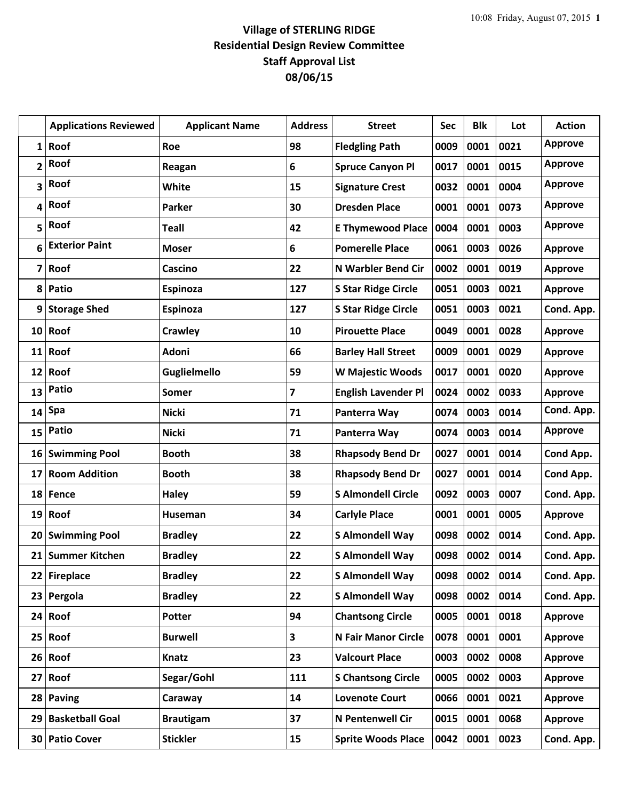## **Village of STERLING RIDGE Residential Design Review Committee Staff Approval List 08/06/15**

|                 | <b>Applications Reviewed</b> | <b>Applicant Name</b> | <b>Address</b> | <b>Street</b>              | <b>Sec</b> | <b>Blk</b> | Lot  | <b>Action</b>  |
|-----------------|------------------------------|-----------------------|----------------|----------------------------|------------|------------|------|----------------|
| $\mathbf{1}$    | Roof                         | Roe                   | 98             | <b>Fledgling Path</b>      | 0009       | 0001       | 0021 | <b>Approve</b> |
| 2               | Roof                         | Reagan                | 6              | <b>Spruce Canyon Pl</b>    | 0017       | 0001       | 0015 | <b>Approve</b> |
| 3               | Roof                         | White                 | 15             | <b>Signature Crest</b>     | 0032       | 0001       | 0004 | <b>Approve</b> |
| 4               | Roof                         | Parker                | 30             | <b>Dresden Place</b>       | 0001       | 0001       | 0073 | <b>Approve</b> |
| 5               | Roof                         | <b>Teall</b>          | 42             | <b>E Thymewood Place</b>   | 0004       | 0001       | 0003 | <b>Approve</b> |
| 6               | <b>Exterior Paint</b>        | <b>Moser</b>          | 6              | <b>Pomerelle Place</b>     | 0061       | 0003       | 0026 | <b>Approve</b> |
| 7               | Roof                         | Cascino               | 22             | <b>N Warbler Bend Cir</b>  | 0002       | 0001       | 0019 | <b>Approve</b> |
| 8               | Patio                        | Espinoza              | 127            | <b>S Star Ridge Circle</b> | 0051       | 0003       | 0021 | <b>Approve</b> |
| 9               | <b>Storage Shed</b>          | Espinoza              | 127            | <b>S Star Ridge Circle</b> | 0051       | 0003       | 0021 | Cond. App.     |
| 10 <sup>1</sup> | Roof                         | Crawley               | 10             | <b>Pirouette Place</b>     | 0049       | 0001       | 0028 | Approve        |
| 11              | Roof                         | Adoni                 | 66             | <b>Barley Hall Street</b>  | 0009       | 0001       | 0029 | <b>Approve</b> |
| 12              | Roof                         | Guglielmello          | 59             | <b>W Majestic Woods</b>    | 0017       | 0001       | 0020 | <b>Approve</b> |
| 13              | <b>Patio</b>                 | Somer                 | 7              | <b>English Lavender Pl</b> | 0024       | 0002       | 0033 | Approve        |
| 14              | Spa                          | <b>Nicki</b>          | 71             | Panterra Way               | 0074       | 0003       | 0014 | Cond. App.     |
| 15              | Patio                        | <b>Nicki</b>          | 71             | Panterra Way               | 0074       | 0003       | 0014 | <b>Approve</b> |
| 16              | <b>Swimming Pool</b>         | <b>Booth</b>          | 38             | <b>Rhapsody Bend Dr</b>    | 0027       | 0001       | 0014 | Cond App.      |
| 17              | <b>Room Addition</b>         | <b>Booth</b>          | 38             | <b>Rhapsody Bend Dr</b>    | 0027       | 0001       | 0014 | Cond App.      |
| 18              | Fence                        | <b>Haley</b>          | 59             | <b>S Almondell Circle</b>  | 0092       | 0003       | 0007 | Cond. App.     |
| 19 <sup>1</sup> | Roof                         | Huseman               | 34             | <b>Carlyle Place</b>       | 0001       | 0001       | 0005 | Approve        |
| 20              | <b>Swimming Pool</b>         | <b>Bradley</b>        | 22             | S Almondell Way            | 0098       | 0002       | 0014 | Cond. App.     |
|                 | 21 Summer Kitchen            | <b>Bradley</b>        | 22             | <b>S Almondell Way</b>     | 0098       | 0002       | 0014 | Cond. App.     |
|                 | 22 Fireplace                 | <b>Bradley</b>        | 22             | <b>S Almondell Way</b>     | 0098       | 0002       | 0014 | Cond. App.     |
| 23              | Pergola                      | <b>Bradley</b>        | 22             | <b>S Almondell Way</b>     | 0098       | 0002       | 0014 | Cond. App.     |
|                 | $24$ Roof                    | Potter                | 94             | <b>Chantsong Circle</b>    | 0005       | 0001       | 0018 | Approve        |
| 25 <sub>1</sub> | Roof                         | <b>Burwell</b>        | 3              | <b>N Fair Manor Circle</b> | 0078       | 0001       | 0001 | <b>Approve</b> |
|                 | $26$ Roof                    | <b>Knatz</b>          | 23             | <b>Valcourt Place</b>      | 0003       | 0002       | 0008 | <b>Approve</b> |
| 27              | Roof                         | Segar/Gohl            | 111            | <b>S Chantsong Circle</b>  | 0005       | 0002       | 0003 | <b>Approve</b> |
|                 | 28 Paving                    | Caraway               | 14             | <b>Lovenote Court</b>      | 0066       | 0001       | 0021 | Approve        |
| 29              | <b>Basketball Goal</b>       | <b>Brautigam</b>      | 37             | N Pentenwell Cir           | 0015       | 0001       | 0068 | Approve        |
| 30              | <b>Patio Cover</b>           | <b>Stickler</b>       | 15             | <b>Sprite Woods Place</b>  | 0042       | 0001       | 0023 | Cond. App.     |